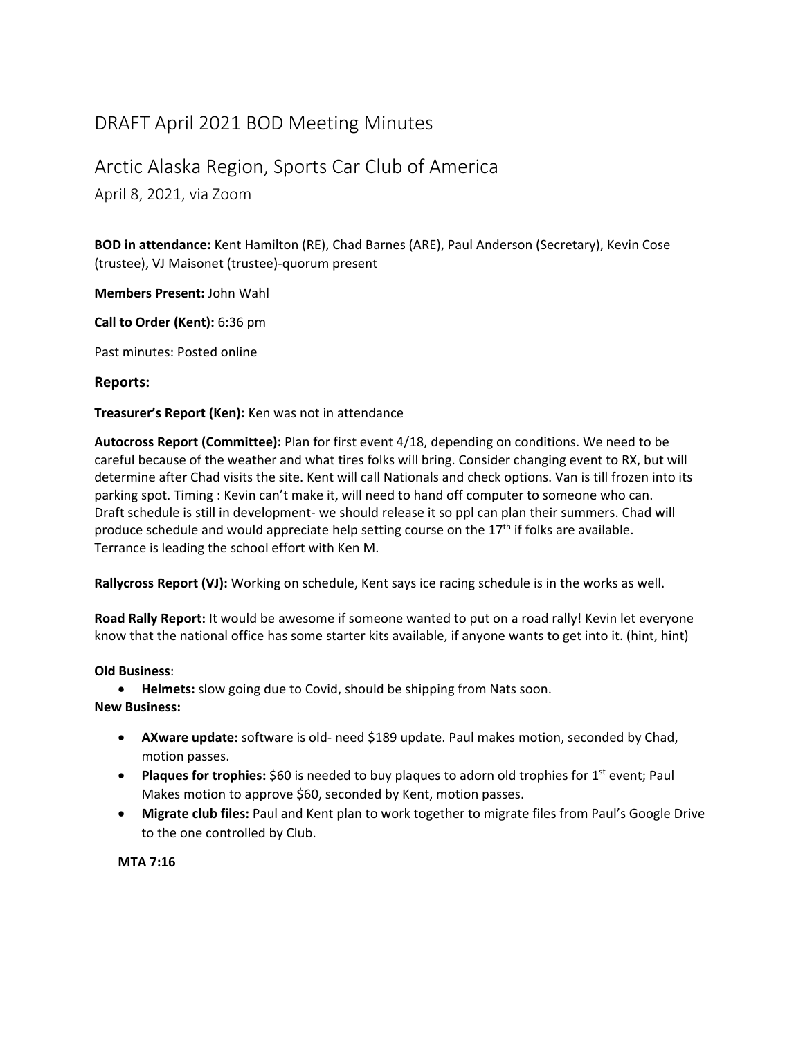## DRAFT April 2021 BOD Meeting Minutes

## Arctic Alaska Region, Sports Car Club of America

April 8, 2021, via Zoom

**BOD in attendance:** Kent Hamilton (RE), Chad Barnes (ARE), Paul Anderson (Secretary), Kevin Cose (trustee), VJ Maisonet (trustee)‐quorum present

**Members Present:** John Wahl

**Call to Order (Kent):** 6:36 pm

Past minutes: Posted online

## **Reports:**

**Treasurer's Report (Ken):** Ken was not in attendance

**Autocross Report (Committee):** Plan for first event 4/18, depending on conditions. We need to be careful because of the weather and what tires folks will bring. Consider changing event to RX, but will determine after Chad visits the site. Kent will call Nationals and check options. Van is till frozen into its parking spot. Timing : Kevin can't make it, will need to hand off computer to someone who can. Draft schedule is still in development- we should release it so ppl can plan their summers. Chad will produce schedule and would appreciate help setting course on the 17<sup>th</sup> if folks are available. Terrance is leading the school effort with Ken M.

**Rallycross Report (VJ):** Working on schedule, Kent says ice racing schedule is in the works as well.

**Road Rally Report:** It would be awesome if someone wanted to put on a road rally! Kevin let everyone know that the national office has some starter kits available, if anyone wants to get into it. (hint, hint)

## **Old Business**:

**Helmets:** slow going due to Covid, should be shipping from Nats soon.

**New Business:**

- **AXware update:** software is old‐ need \$189 update. Paul makes motion, seconded by Chad, motion passes.
- **Plaques for trophies:** \$60 is needed to buy plaques to adorn old trophies for 1<sup>st</sup> event; Paul Makes motion to approve \$60, seconded by Kent, motion passes.
- **Migrate club files:** Paul and Kent plan to work together to migrate files from Paul's Google Drive to the one controlled by Club.

**MTA 7:16**